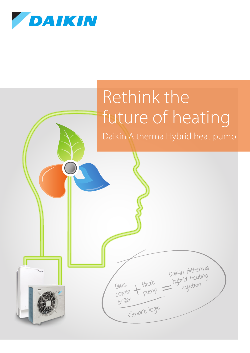

lī





Daikin Altherma

system

Heat hybrid heating

Gas

combiboiler

Smart logic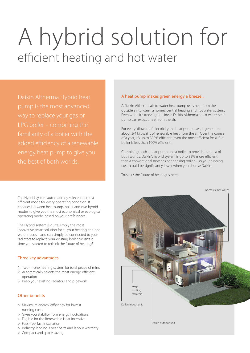# A hybrid solution for efficient heating and hot water

added efficiency of a renewable the best of both worlds.

The Hybrid system automatically selects the most efficient mode for every operating condition. It chooses between heat pump, boiler and two hybrid modes to give you the most economical or ecological operating mode, based on your preferences.

The Hybrid system is quite simply the most innovative smart solution for all your heating and hot water needs – and can simply be connected to your radiators to replace your existing boiler. So isn't it time you started to rethink the future of heating?

# Three key advantages

- 1. Two-in-one heating system for total peace of mind
- 2. Automatically selects the most energy-efficient operation
- 3. Keep your existing radiators and pipework

# Other benefits

- > Maximum energy-efficiency for lowest running costs
- > Gives you stability from energy fluctuations
- > Eligible for the Renewable Heat Incentive
- > Fuss-free, fast installation
- > Industry-leading 3-year parts and labour warranty

# > Compact and space saving

# A heat pump makes green energy a breeze...

A Daikin Altherma air-to-water heat pump uses heat from the outside air to warm a home's central heating and hot water system. Even when it's freezing outside, a Daikin Altherma air-to-water heat pump can extract heat from the air.

For every kilowatt of electricity the heat pump uses, it generates about 3-4 kilowatts of renewable heat from the air. Over the course of a year, it's up to 300% efficient (even the most efficient fossil fuel boiler is less than 100% efficient).

Combining both a heat pump and a boiler to provide the best of both worlds, Daikin's hybrid system is up to 35% more efficient than a conventional new gas condensing boiler – so your running costs could be significantly lower when you choose Daikin.

Trust us: the future of heating is here.

Domestic hot water

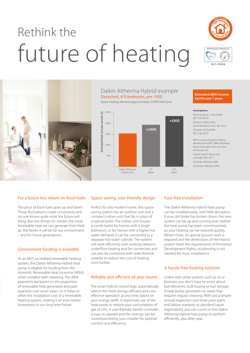# Rethink the future of heating





# Daikin Altherma Hybrid example Detached, 4/5 bedroom, pre 1930 Space heating demand approximately 25,000 kWh/year



### **Estimated dRHI income: £6,050 over 7 years**

### **Assumptions:**

Electricity price: 14.05 p/kWh (EST, Feb 2015) Oil price: 6.902 p/kWh [\(www.boilerjuice.com, Ap](http://www.boilerjuice.com)r 2013) LPG price: 8.32 p/kWh (EST, Feb 2015)

dRHI income and space heating demand from DECC dRHI calculator [\(www.renewable-heat-calculator.](http://www.renewable-heat-calculator.service.gov.uk) [service.gov.uk\)](http://www.renewable-heat-calculator.service.gov.uk)

Hybrid system: heat pump coverage 70%, SPF 3 Oil boiler: efficiency 90% LPG boiler: efficiency 90%

# For a future less reliant on fossil fuels

The price of fossil fuels goes up and down. Those fluctuations create uncertainty and no one knows quite what the future will bring. But one thing's for certain: the more renewable heat we can generate from fresh air, the better it will be for our environment – and for future generations.

# Government funding is available

As an MCS accredited renewable heating system, the Daikin Altherma Hybrid heat pump is eligible for funding from the domestic Renewable Heat Incentive (dRHI), when installed with metering. The dRHI payments are based on the proportion of renewable heat generated and paid quarterly over seven years. So it helps to offset the installation cost of a renewable heating system, making it an even better investment in our long term future.

# Space-saving, user-friendly design

Perfect for any modern home, this spacesaving system has an outdoor unit and a compact indoor unit that fits in place of a typical boiler. The indoor unit houses a combi boiler for homes with a single bathroom, or for homes with a higher hot water demand, it can be connected to a separate hot water cylinder. The system will work efficiently with existing radiators, underfloor heating and fan convectors and can also be combined with solar thermal systems to reduce the cost of heating even further.

# Reliable and efficient all year round

The smart hybrid control logic automatically selects the most energy-efficient and costeffective operation at any time, based on your energy tariffs. It maximises use of the heat pump to reduce your consumption of gas or LPG. A user-friendly, backlit controller is easy to operate and the settings can be commissioned by your installer for optimal comfort and efficiency.

# Fuss-free installation

The Daikin Altherma Hybrid heat pump can be installed easily, with little disruption. If your old boiler has broken down, the new system can be up and running even before the heat pump has been commissioned, so your heating can be restored quickly. What's more, no special ground work is required and the dimensions of the Hybrid system meet the requirements of Permitted Development Rights, so planning is not needed for most installations.

# A hassle-free heating solution

Unlike with other systems such as oil or biomass, you don't have to worry about fuel deliveries, bulk buying or fuel storage. A heat pump generates no waste that requires regular cleaning. With just a simple annual inspection and three years parts and labour warranty as standard (upon registration), you can count on the Daikin Altherma Hybrid heat pump to perform efficiently, year after year.